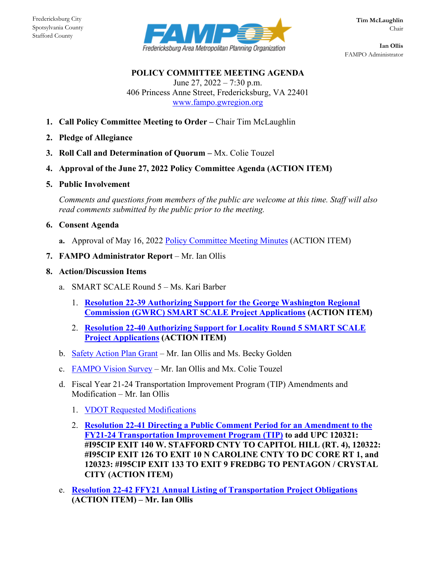Stafford County



**Ian Ollis** FAMPO Administrator

**POLICY COMMITTEE MEETING AGENDA** June 27,  $2022 - 7:30$  p.m. 406 Princess Anne Street, Fredericksburg, VA 22401 [www.fampo.gwregion.org](http://www.fampo.gwregion.org/)

- **1. Call Policy Committee Meeting to Order –** Chair Tim McLaughlin
- **2. Pledge of Allegiance**
- **3. Roll Call and Determination of Quorum –** Mx. Colie Touzel
- **4. Approval of the June 27, 2022 Policy Committee Agenda (ACTION ITEM)**
- **5. Public Involvement**

*Comments and questions from members of the public are welcome at this time. Staff will also read comments submitted by the public prior to the meeting.*

- **6. Consent Agenda**
	- **a.** Approval of May 16, 2022 [Policy Committee Meeting Minutes](https://www.fampo.gwregion.org/wp-content/uploads/2022/06/6a_2022.05.16-Policy-Committee-DRAFT-Minutes.pdf) (ACTION ITEM)
- **7. FAMPO Administrator Report** Mr. Ian Ollis
- **8. Action/Discussion Items**
	- a. SMART SCALE Round 5 Ms. Kari Barber
		- 1. **[Resolution 22-39 Authorizing Support for the George Washington Regional](https://www.fampo.gwregion.org/wp-content/uploads/2022/06/8a1_DRAFT-Resolution-22-39.pdf)  [Commission \(GWRC\) SMART SCALE Project Applications](https://www.fampo.gwregion.org/wp-content/uploads/2022/06/8a1_DRAFT-Resolution-22-39.pdf) (ACTION ITEM)**
		- 2. **[Resolution 22-40 Authorizing Support for Locality Round 5 SMART SCALE](https://www.fampo.gwregion.org/wp-content/uploads/2022/06/8a2_Resolution-22-40.pdf)  [Project Applications](https://www.fampo.gwregion.org/wp-content/uploads/2022/06/8a2_Resolution-22-40.pdf) (ACTION ITEM)**
	- b. [Safety Action Plan Grant](https://www.fampo.gwregion.org/wp-content/uploads/2022/06/8b_Grant-Oppourtunity-Slides-SS4A.pdf) Mr. Ian Ollis and Ms. Becky Golden
	- c. [FAMPO Vision Survey](https://www.fampo.gwregion.org/wp-content/uploads/2022/06/8c_FAMPO-Vision-Results_update.pdf) Mr. Ian Ollis and Mx. Colie Touzel
	- d. Fiscal Year 21-24 Transportation Improvement Program (TIP) Amendments and Modification – Mr. Ian Ollis
		- 1. [VDOT Requested Modifications](https://www.fampo.gwregion.org/wp-content/uploads/2022/06/8d1_TIP-STIP-Blocks-Modification-Request.pdf)
		- 2. **[Resolution 22-41 Directing a Public Comment Period for an Amendment to the](https://www.fampo.gwregion.org/wp-content/uploads/2022/06/8d2_Resolution-22-41.pdf)  FY21-24 Transportation [Improvement Program \(TIP\)](https://www.fampo.gwregion.org/wp-content/uploads/2022/06/8d2_Resolution-22-41.pdf) to add UPC 120321: #I95CIP EXIT 140 W. STAFFORD CNTY TO CAPITOL HILL (RT. 4), 120322: #I95CIP EXIT 126 TO EXIT 10 N CAROLINE CNTY TO DC CORE RT 1, and 120323: #I95CIP EXIT 133 TO EXIT 9 FREDBG TO PENTAGON / CRYSTAL CITY (ACTION ITEM)**
	- e. **[Resolution 22-42 FFY21 Annual Listing of Transportation Project Obligations](https://www.fampo.gwregion.org/wp-content/uploads/2022/06/8e_Resolution-22-42.pdf) (ACTION ITEM) – Mr. Ian Ollis**